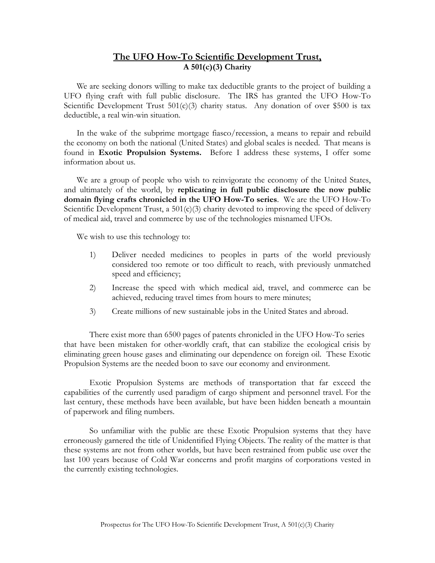# **The UFO How-To Scientific Development Trust, A 501(c)(3) Charity**

We are seeking donors willing to make tax deductible grants to the project of building a UFO flying craft with full public disclosure. The IRS has granted the UFO How-To Scientific Development Trust  $501(c)(3)$  charity status. Any donation of over \$500 is tax deductible, a real win-win situation.

In the wake of the subprime mortgage fiasco/recession, a means to repair and rebuild the economy on both the national (United States) and global scales is needed. That means is found in **Exotic Propulsion Systems.** Before I address these systems, I offer some information about us.

We are a group of people who wish to reinvigorate the economy of the United States, and ultimately of the world, by **replicating in full public disclosure the now public domain flying crafts chronicled in the UFO How-To series**. We are the UFO How-To Scientific Development Trust, a  $501(c)(3)$  charity devoted to improving the speed of delivery of medical aid, travel and commerce by use of the technologies misnamed UFOs.

We wish to use this technology to:

- 1) Deliver needed medicines to peoples in parts of the world previously considered too remote or too difficult to reach, with previously unmatched speed and efficiency;
- 2) Increase the speed with which medical aid, travel, and commerce can be achieved, reducing travel times from hours to mere minutes;
- 3) Create millions of new sustainable jobs in the United States and abroad.

There exist more than 6500 pages of patents chronicled in the UFO How-To series that have been mistaken for other-worldly craft, that can stabilize the ecological crisis by eliminating green house gases and eliminating our dependence on foreign oil. These Exotic Propulsion Systems are the needed boon to save our economy and environment.

Exotic Propulsion Systems are methods of transportation that far exceed the capabilities of the currently used paradigm of cargo shipment and personnel travel. For the last century, these methods have been available, but have been hidden beneath a mountain of paperwork and filing numbers.

So unfamiliar with the public are these Exotic Propulsion systems that they have erroneously garnered the title of Unidentified Flying Objects. The reality of the matter is that these systems are not from other worlds, but have been restrained from public use over the last 100 years because of Cold War concerns and profit margins of corporations vested in the currently existing technologies.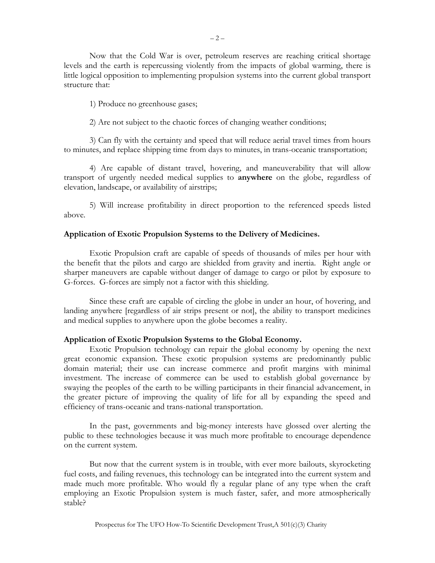Now that the Cold War is over, petroleum reserves are reaching critical shortage levels and the earth is repercussing violently from the impacts of global warming, there is little logical opposition to implementing propulsion systems into the current global transport structure that:

1) Produce no greenhouse gases;

2) Are not subject to the chaotic forces of changing weather conditions;

3) Can fly with the certainty and speed that will reduce aerial travel times from hours to minutes, and replace shipping time from days to minutes, in trans-oceanic transportation;

4) Are capable of distant travel, hovering, and maneuverability that will allow transport of urgently needed medical supplies to **anywhere** on the globe, regardless of elevation, landscape, or availability of airstrips;

5) Will increase profitability in direct proportion to the referenced speeds listed above.

# **Application of Exotic Propulsion Systems to the Delivery of Medicines.**

Exotic Propulsion craft are capable of speeds of thousands of miles per hour with the benefit that the pilots and cargo are shielded from gravity and inertia. Right angle or sharper maneuvers are capable without danger of damage to cargo or pilot by exposure to G-forces. G-forces are simply not a factor with this shielding.

 Since these craft are capable of circling the globe in under an hour, of hovering, and landing anywhere [regardless of air strips present or not], the ability to transport medicines and medical supplies to anywhere upon the globe becomes a reality.

# **Application of Exotic Propulsion Systems to the Global Economy.**

Exotic Propulsion technology can repair the global economy by opening the next great economic expansion. These exotic propulsion systems are predominantly public domain material; their use can increase commerce and profit margins with minimal investment. The increase of commerce can be used to establish global governance by swaying the peoples of the earth to be willing participants in their financial advancement, in the greater picture of improving the quality of life for all by expanding the speed and efficiency of trans-oceanic and trans-national transportation.

In the past, governments and big-money interests have glossed over alerting the public to these technologies because it was much more profitable to encourage dependence on the current system.

But now that the current system is in trouble, with ever more bailouts, skyrocketing fuel costs, and failing revenues, this technology can be integrated into the current system and made much more profitable. Who would fly a regular plane of any type when the craft employing an Exotic Propulsion system is much faster, safer, and more atmospherically stable?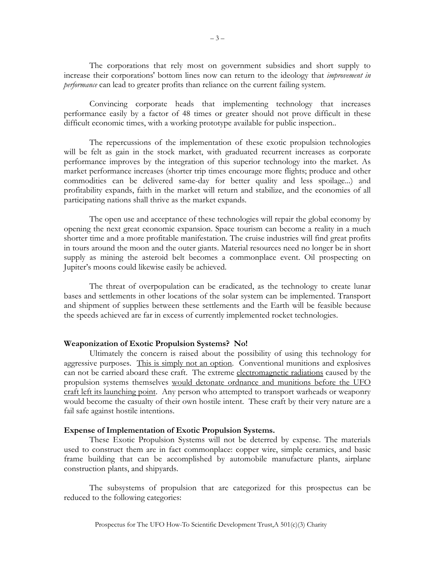The corporations that rely most on government subsidies and short supply to increase their corporations' bottom lines now can return to the ideology that *improvement in performance* can lead to greater profits than reliance on the current failing system.

Convincing corporate heads that implementing technology that increases performance easily by a factor of 48 times or greater should not prove difficult in these difficult economic times, with a working prototype available for public inspection..

The repercussions of the implementation of these exotic propulsion technologies will be felt as gain in the stock market, with graduated recurrent increases as corporate performance improves by the integration of this superior technology into the market. As market performance increases (shorter trip times encourage more flights; produce and other commodities can be delivered same-day for better quality and less spoilage...) and profitability expands, faith in the market will return and stabilize, and the economies of all participating nations shall thrive as the market expands.

The open use and acceptance of these technologies will repair the global economy by opening the next great economic expansion. Space tourism can become a reality in a much shorter time and a more profitable manifestation. The cruise industries will find great profits in tours around the moon and the outer giants. Material resources need no longer be in short supply as mining the asteroid belt becomes a commonplace event. Oil prospecting on Jupiter's moons could likewise easily be achieved.

The threat of overpopulation can be eradicated, as the technology to create lunar bases and settlements in other locations of the solar system can be implemented. Transport and shipment of supplies between these settlements and the Earth will be feasible because the speeds achieved are far in excess of currently implemented rocket technologies.

### **Weaponization of Exotic Propulsion Systems? No!**

 Ultimately the concern is raised about the possibility of using this technology for aggressive purposes. This is simply not an option. Conventional munitions and explosives can not be carried aboard these craft. The extreme electromagnetic radiations caused by the propulsion systems themselves would detonate ordnance and munitions before the UFO craft left its launching point. Any person who attempted to transport warheads or weaponry would become the casualty of their own hostile intent. These craft by their very nature are a fail safe against hostile intentions.

## **Expense of Implementation of Exotic Propulsion Systems.**

These Exotic Propulsion Systems will not be deterred by expense. The materials used to construct them are in fact commonplace: copper wire, simple ceramics, and basic frame building that can be accomplished by automobile manufacture plants, airplane construction plants, and shipyards.

The subsystems of propulsion that are categorized for this prospectus can be reduced to the following categories: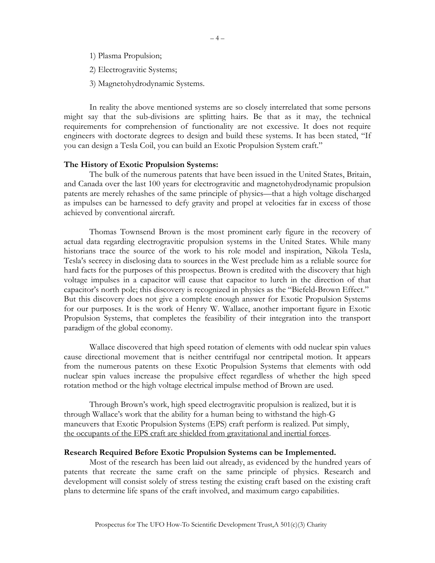- 1) Plasma Propulsion;
- 2) Electrogravitic Systems;
- 3) Magnetohydrodynamic Systems.

In reality the above mentioned systems are so closely interrelated that some persons might say that the sub-divisions are splitting hairs. Be that as it may, the technical requirements for comprehension of functionality are not excessive. It does not require engineers with doctorate degrees to design and build these systems. It has been stated, "If you can design a Tesla Coil, you can build an Exotic Propulsion System craft."

#### **The History of Exotic Propulsion Systems:**

The bulk of the numerous patents that have been issued in the United States, Britain, and Canada over the last 100 years for electrogravitic and magnetohydrodynamic propulsion patents are merely rehashes of the same principle of physics—that a high voltage discharged as impulses can be harnessed to defy gravity and propel at velocities far in excess of those achieved by conventional aircraft.

Thomas Townsend Brown is the most prominent early figure in the recovery of actual data regarding electrogravitic propulsion systems in the United States. While many historians trace the source of the work to his role model and inspiration, Nikola Tesla, Tesla's secrecy in disclosing data to sources in the West preclude him as a reliable source for hard facts for the purposes of this prospectus. Brown is credited with the discovery that high voltage impulses in a capacitor will cause that capacitor to lurch in the direction of that capacitor's north pole; this discovery is recognized in physics as the "Biefeld-Brown Effect." But this discovery does not give a complete enough answer for Exotic Propulsion Systems for our purposes. It is the work of Henry W. Wallace, another important figure in Exotic Propulsion Systems, that completes the feasibility of their integration into the transport paradigm of the global economy.

Wallace discovered that high speed rotation of elements with odd nuclear spin values cause directional movement that is neither centrifugal nor centripetal motion. It appears from the numerous patents on these Exotic Propulsion Systems that elements with odd nuclear spin values increase the propulsive effect regardless of whether the high speed rotation method or the high voltage electrical impulse method of Brown are used.

Through Brown's work, high speed electrogravitic propulsion is realized, but it is through Wallace's work that the ability for a human being to withstand the high-G maneuvers that Exotic Propulsion Systems (EPS) craft perform is realized. Put simply, the occupants of the EPS craft are shielded from gravitational and inertial forces.

### **Research Required Before Exotic Propulsion Systems can be Implemented.**

Most of the research has been laid out already, as evidenced by the hundred years of patents that recreate the same craft on the same principle of physics. Research and development will consist solely of stress testing the existing craft based on the existing craft plans to determine life spans of the craft involved, and maximum cargo capabilities.